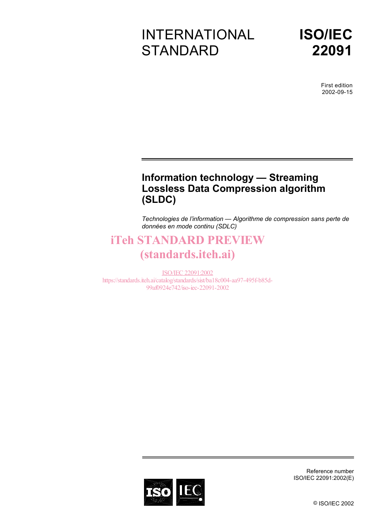# INTERNATIONAL **STANDARD**



First edition 2002-09-15

### **Information technology — Streaming Lossless Data Compression algorithm (SLDC)**

*Technologies de l'information — Algorithme de compression sans perte de données en mode continu (SDLC)* 

### iTeh STANDARD PREVIEW (standards.iteh.ai)

ISO/IEC 22091:2002 https://standards.iteh.ai/catalog/standards/sist/ba18c004-aa97-495f-b85d-99af0924e742/iso-iec-22091-2002



Reference number ISO/IEC 22091:2002(E)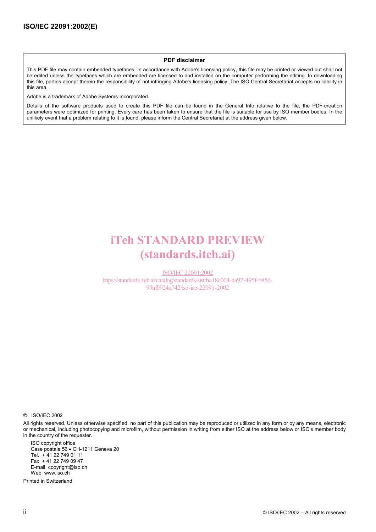#### **PDF disclaimer**

This PDF file may contain embedded typefaces. In accordance with Adobe's licensing policy, this file may be printed or viewed but shall not be edited unless the typefaces which are embedded are licensed to and installed on the computer performing the editing. In downloading this file, parties accept therein the responsibility of not infringing Adobe's licensing policy. The ISO Central Secretariat accepts no liability in this area.

Adobe is a trademark of Adobe Systems Incorporated.

Details of the software products used to create this PDF file can be found in the General Info relative to the file; the PDF-creation parameters were optimized for printing. Every care has been taken to ensure that the file is suitable for use by ISO member bodies. In the unlikely event that a problem relating to it is found, please inform the Central Secretariat at the address given below.

### iTeh STANDARD PREVIEW (standards.iteh.ai)

ISO/IEC 22091:2002 https://standards.iteh.ai/catalog/standards/sist/ba18c004-aa97-495f-b85d-99af0924e742/iso-iec-22091-2002

© ISO/IEC 2002

All rights reserved. Unless otherwise specified, no part of this publication may be reproduced or utilized in any form or by any means, electronic or mechanical, including photocopying and microfilm, without permission in writing from either ISO at the address below or ISO's member body in the country of the requester.

ISO copyright office Case postale 56 • CH-1211 Geneva 20 Tel. + 41 22 749 01 11 Fax + 41 22 749 09 47 E-mail copyright@iso.ch Web www.iso.ch

Printed in Switzerland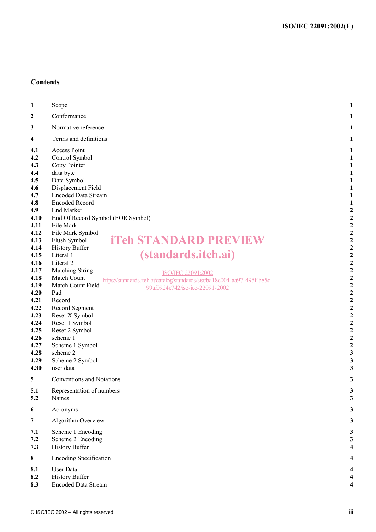### **Contents**

| 1                                                                                                                                                                                                                                   | Scope                                                                                                                                                                                                                                                                                                                                                                                                                                                                                                                                                                                                                                                                                                                                                              | 1                                                                                                                                                                                                                                                                                                                                                                                                                                              |
|-------------------------------------------------------------------------------------------------------------------------------------------------------------------------------------------------------------------------------------|--------------------------------------------------------------------------------------------------------------------------------------------------------------------------------------------------------------------------------------------------------------------------------------------------------------------------------------------------------------------------------------------------------------------------------------------------------------------------------------------------------------------------------------------------------------------------------------------------------------------------------------------------------------------------------------------------------------------------------------------------------------------|------------------------------------------------------------------------------------------------------------------------------------------------------------------------------------------------------------------------------------------------------------------------------------------------------------------------------------------------------------------------------------------------------------------------------------------------|
| 2                                                                                                                                                                                                                                   | Conformance                                                                                                                                                                                                                                                                                                                                                                                                                                                                                                                                                                                                                                                                                                                                                        |                                                                                                                                                                                                                                                                                                                                                                                                                                                |
| 3                                                                                                                                                                                                                                   | Normative reference                                                                                                                                                                                                                                                                                                                                                                                                                                                                                                                                                                                                                                                                                                                                                |                                                                                                                                                                                                                                                                                                                                                                                                                                                |
| 4                                                                                                                                                                                                                                   | Terms and definitions                                                                                                                                                                                                                                                                                                                                                                                                                                                                                                                                                                                                                                                                                                                                              |                                                                                                                                                                                                                                                                                                                                                                                                                                                |
| 4.1<br>4.2<br>4.3<br>4,4<br>4.5<br>4.6<br>4.7<br>4.8<br>4.9<br>4.10<br>4.11<br>4.12<br>4.13<br>4.14<br>4.15<br>4.16<br>4.17<br>4.18<br>4.19<br>4.20<br>4.21<br>4.22<br>4.23<br>4.24<br>4.25<br>4.26<br>4.27<br>4.28<br>4.29<br>4.30 | <b>Access Point</b><br>Control Symbol<br>Copy Pointer<br>data byte<br>Data Symbol<br>Displacement Field<br><b>Encoded Data Stream</b><br><b>Encoded Record</b><br><b>End Marker</b><br>End Of Record Symbol (EOR Symbol)<br>File Mark<br>File Mark Symbol<br><b>iTeh STANDARD PREVIEW</b><br>Flush Symbol<br><b>History Buffer</b><br><i>(standards.iteh.ai)</i><br>Literal 1<br>Literal 2<br><b>Matching String</b><br>ISO/IEC 22091:2002<br>Match Count<br>https://standards.iteh.ai/catalog/standards/sist/ba18c004-aa97-495f-b85d-<br>Match Count Field<br>99af0924e742/iso-iec-22091-2002<br>Pad<br>Record<br>Record Segment<br>Reset X Symbol<br>Reset 1 Symbol<br>Reset 2 Symbol<br>scheme 1<br>Scheme 1 Symbol<br>scheme 2<br>Scheme 2 Symbol<br>user data | $\overline{\mathbf{c}}$<br>2<br>$\boldsymbol{2}$<br>$\boldsymbol{2}$<br>$\overline{\mathbf{c}}$<br>$\overline{\mathbf{c}}$<br>2<br>$\overline{\mathbf{c}}$<br>$\overline{c}$<br>$\overline{\mathbf{c}}$<br>$\overline{c}$<br>$\overline{c}$<br>$\overline{c}$<br>$\overline{\mathbf{c}}$<br>$\overline{\mathbf{c}}$<br>$\overline{\mathbf{c}}$<br>$\overline{\mathbf{c}}$<br>$\overline{\mathbf{c}}$<br>$\overline{\mathbf{c}}$<br>3<br>3<br>3 |
| 5                                                                                                                                                                                                                                   | Conventions and Notations                                                                                                                                                                                                                                                                                                                                                                                                                                                                                                                                                                                                                                                                                                                                          | 3                                                                                                                                                                                                                                                                                                                                                                                                                                              |
| 5.1<br>5.2                                                                                                                                                                                                                          | Representation of numbers<br>Names                                                                                                                                                                                                                                                                                                                                                                                                                                                                                                                                                                                                                                                                                                                                 | 3<br>3                                                                                                                                                                                                                                                                                                                                                                                                                                         |
| 6                                                                                                                                                                                                                                   | Acronyms                                                                                                                                                                                                                                                                                                                                                                                                                                                                                                                                                                                                                                                                                                                                                           | 3                                                                                                                                                                                                                                                                                                                                                                                                                                              |
| $\overline{7}$                                                                                                                                                                                                                      | Algorithm Overview                                                                                                                                                                                                                                                                                                                                                                                                                                                                                                                                                                                                                                                                                                                                                 | 3                                                                                                                                                                                                                                                                                                                                                                                                                                              |
| 7.1<br>7.2<br>7.3                                                                                                                                                                                                                   | Scheme 1 Encoding<br>Scheme 2 Encoding<br><b>History Buffer</b>                                                                                                                                                                                                                                                                                                                                                                                                                                                                                                                                                                                                                                                                                                    | 3<br>3                                                                                                                                                                                                                                                                                                                                                                                                                                         |
| 8                                                                                                                                                                                                                                   | <b>Encoding Specification</b>                                                                                                                                                                                                                                                                                                                                                                                                                                                                                                                                                                                                                                                                                                                                      |                                                                                                                                                                                                                                                                                                                                                                                                                                                |
| 8.1<br>8.2<br>8.3                                                                                                                                                                                                                   | <b>User Data</b><br><b>History Buffer</b><br><b>Encoded Data Stream</b>                                                                                                                                                                                                                                                                                                                                                                                                                                                                                                                                                                                                                                                                                            | 4                                                                                                                                                                                                                                                                                                                                                                                                                                              |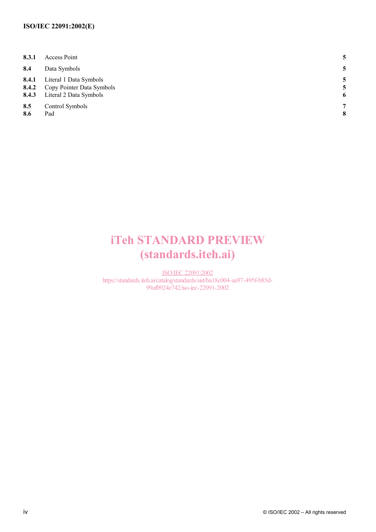#### **ISO/IEC 22091:2002(E)**

| 8.3.1          | Access Point                                                                               |        |
|----------------|--------------------------------------------------------------------------------------------|--------|
| 8.4            | Data Symbols                                                                               |        |
| 8.4.1<br>8.4.2 | Literal 1 Data Symbols<br>Copy Pointer Data Symbols<br><b>8.4.3</b> Literal 2 Data Symbols | 5<br>6 |
| 8.5<br>8.6     | Control Symbols<br>Pad                                                                     | 7<br>8 |

## iTeh STANDARD PREVIEW (standards.iteh.ai)

ISO/IEC 22091:2002 https://standards.iteh.ai/catalog/standards/sist/ba18c004-aa97-495f-b85d-99af0924e742/iso-iec-22091-2002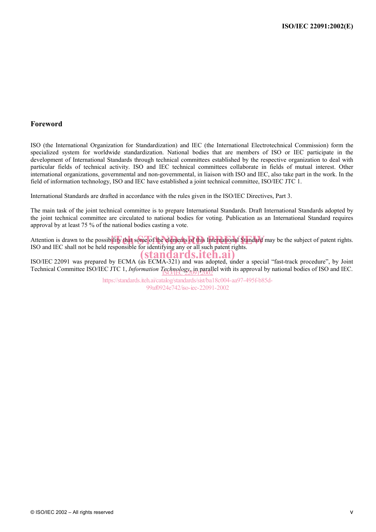#### **Foreword**

ISO (the International Organization for Standardization) and IEC (the International Electrotechnical Commission) form the specialized system for worldwide standardization. National bodies that are members of ISO or IEC participate in the development of International Standards through technical committees established by the respective organization to deal with particular fields of technical activity. ISO and IEC technical committees collaborate in fields of mutual interest. Other international organizations, governmental and non-governmental, in liaison with ISO and IEC, also take part in the work. In the field of information technology, ISO and IEC have established a joint technical committee, ISO/IEC JTC 1.

International Standards are drafted in accordance with the rules given in the ISO/IEC Directives, Part 3.

The main task of the joint technical committee is to prepare International Standards. Draft International Standards adopted by the joint technical committee are circulated to national bodies for voting. Publication as an International Standard requires approval by at least 75 % of the national bodies casting a vote.

Attention is drawn to the possibility that some of the elements of this International Standard may be the subject of patent rights. ISO and IEC shall not be held responsible for identifying any or all such patent rights.

ISO/IEC 22091 was prepared by ECMA (as ECMA-321) and was adopted, under a special "fast-track procedure", by Joint ISO/IEC 22091 was prepared by ECMA (as ECMA-321) and was adopted, under a special "fast-track procedure", b Technical Committee ISO/IEC JTC 1, *Information Technology*, in parallel with its approval by national bodies of ISO and IEC.

https://standards.iteh.ai/catalog/standards/sist/ba18c004-aa97-495f-b85d-99af0924e742/iso-iec-22091-2002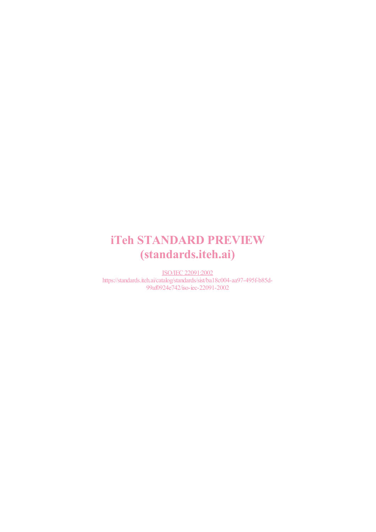## iTeh STANDARD PREVIEW (standards.iteh.ai)

ISO/IEC 22091:2002 https://standards.iteh.ai/catalog/standards/sist/ba18c004-aa97-495f-b85d-99af0924e742/iso-iec-22091-2002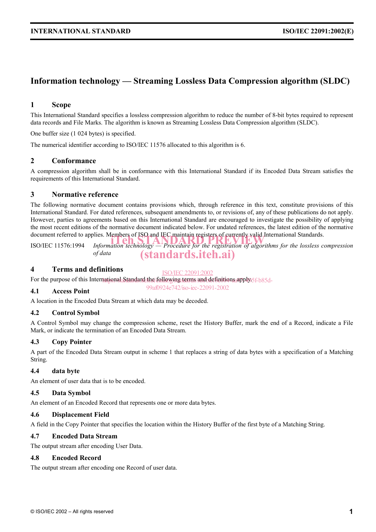### **Information technology — Streaming Lossless Data Compression algorithm (SLDC)**

#### **1 Scope**

This International Standard specifies a lossless compression algorithm to reduce the number of 8-bit bytes required to represent data records and File Marks. The algorithm is known as Streaming Lossless Data Compression algorithm (SLDC).

One buffer size (1 024 bytes) is specified.

The numerical identifier according to ISO/IEC 11576 allocated to this algorithm is 6.

#### **2 Conformance**

A compression algorithm shall be in conformance with this International Standard if its Encoded Data Stream satisfies the requirements of this International Standard.

#### **3 Normative reference**

The following normative document contains provisions which, through reference in this text, constitute provisions of this International Standard. For dated references, subsequent amendments to, or revisions of, any of these publications do not apply. However, parties to agreements based on this International Standard are encouraged to investigate the possibility of applying the most recent editions of the normative document indicated below. For undated references, the latest edition of the normative document referred to applies. Members of ISO and IEC maintain registers of currently valid International Standards.

document referred to applies. Members of ISO and TEC maintain registers of currently valid international Standards.<br>ISO/IEC 11576:1994 *Information technology — Procedure for the registration of algorithms for the lossless of data*  (standards.iteh.ai)

#### **4 Terms and definitions**

ISO/IEC 22091:2002

99af0924e742/iso-iec-22091-2002

For the purpose of this International Standard the following terms and definitions apply 5f-b85d-

#### **4.1 Access Point**

A location in the Encoded Data Stream at which data may be decoded.

#### **4.2 Control Symbol**

A Control Symbol may change the compression scheme, reset the History Buffer, mark the end of a Record, indicate a File Mark, or indicate the termination of an Encoded Data Stream.

#### **4.3 Copy Pointer**

A part of the Encoded Data Stream output in scheme 1 that replaces a string of data bytes with a specification of a Matching String.

#### **4.4 data byte**

An element of user data that is to be encoded.

#### **4.5 Data Symbol**

An element of an Encoded Record that represents one or more data bytes.

#### **4.6 Displacement Field**

A field in the Copy Pointer that specifies the location within the History Buffer of the first byte of a Matching String.

#### **4.7 Encoded Data Stream**

The output stream after encoding User Data.

#### **4.8 Encoded Record**

The output stream after encoding one Record of user data.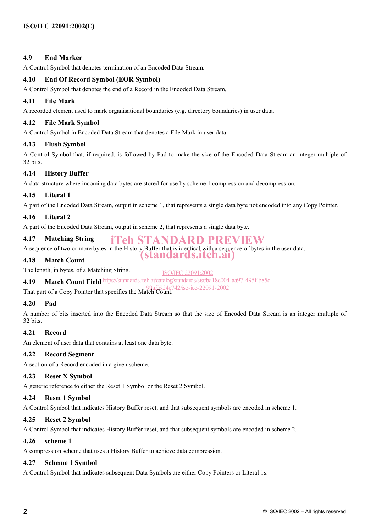#### **4.9 End Marker**

A Control Symbol that denotes termination of an Encoded Data Stream.

#### **4.10 End Of Record Symbol (EOR Symbol)**

A Control Symbol that denotes the end of a Record in the Encoded Data Stream.

#### **4.11 File Mark**

A recorded element used to mark organisational boundaries (e.g. directory boundaries) in user data.

#### **4.12 File Mark Symbol**

A Control Symbol in Encoded Data Stream that denotes a File Mark in user data.

#### **4.13 Flush Symbol**

A Control Symbol that, if required, is followed by Pad to make the size of the Encoded Data Stream an integer multiple of 32 bits.

#### **4.14 History Buffer**

A data structure where incoming data bytes are stored for use by scheme 1 compression and decompression.

#### **4.15 Literal 1**

A part of the Encoded Data Stream, output in scheme 1, that represents a single data byte not encoded into any Copy Pointer.

#### **4.16 Literal 2**

A part of the Encoded Data Stream, output in scheme 2, that represents a single data byte.

#### **4.17 Matching String**  iTeh STANDARD PREVIEW

A sequence of two or more bytes in the History Buffer that is identical with a sequence of bytes in the user data.

#### **4.18 Match Count**

The length, in bytes, of a Matching String.

4.19 **Match Count Field** https://standards.iteh.ai/catalog/standards/sist/ba18c004-aa97-495f-b85d-

That part of a Copy Pointer that specifies the Match Count. 99af0924e742/iso-iec-22091-2002

#### **4.20 Pad**

A number of bits inserted into the Encoded Data Stream so that the size of Encoded Data Stream is an integer multiple of 32 bits.

(standards.iteh.ai)

ISO/IEC 22091:2002

#### **4.21 Record**

An element of user data that contains at least one data byte.

#### **4.22 Record Segment**

A section of a Record encoded in a given scheme.

#### **4.23 Reset X Symbol**

A generic reference to either the Reset 1 Symbol or the Reset 2 Symbol.

#### **4.24 Reset 1 Symbol**

A Control Symbol that indicates History Buffer reset, and that subsequent symbols are encoded in scheme 1.

#### **4.25 Reset 2 Symbol**

A Control Symbol that indicates History Buffer reset, and that subsequent symbols are encoded in scheme 2.

#### **4.26 scheme 1**

A compression scheme that uses a History Buffer to achieve data compression.

#### **4.27 Scheme 1 Symbol**

A Control Symbol that indicates subsequent Data Symbols are either Copy Pointers or Literal 1s.